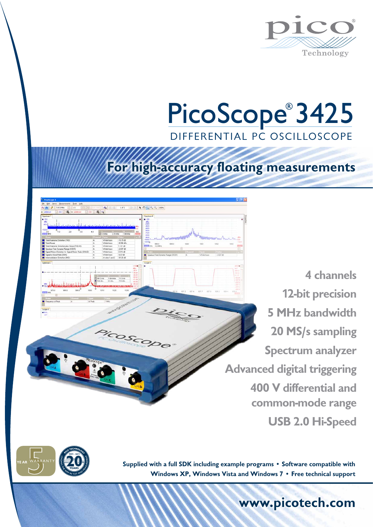

## PicoScope<sup>®</sup> 3425 DIFFERENTIAL PC OSCILLOSCOPE

## **For high-accuracy floating measurements**

 $7.145$ 

OSCOPE

**4 channels 12-bit precision 5 MHz bandwidth 20 MS/s sampling Spectrum analyzer Advanced digital triggering 400 V differential and common-mode range USB 2.0 Hi-Speed**



**Supplied with a full SDK including example programs** • **Software compatible with Windows XP, Windows Vista and Windows 7** • **Free technical support**

**www.picotech.com**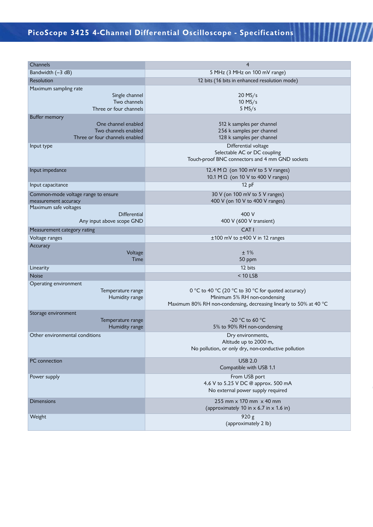/////

| Channels                                    | $\overline{4}$                                                           |  |  |
|---------------------------------------------|--------------------------------------------------------------------------|--|--|
| Bandwidth (-3 dB)                           | 5 MHz (3 MHz on 100 mV range)                                            |  |  |
| Resolution                                  | 12 bits (16 bits in enhanced resolution mode)                            |  |  |
| Maximum sampling rate                       |                                                                          |  |  |
| Single channel                              | $20$ MS/s                                                                |  |  |
| Two channels                                | $10$ MS/s                                                                |  |  |
| Three or four channels                      | $5$ MS/s                                                                 |  |  |
| <b>Buffer memory</b>                        |                                                                          |  |  |
| One channel enabled<br>Two channels enabled | 512 k samples per channel<br>256 k samples per channel                   |  |  |
| Three or four channels enabled              | 128 k samples per channel                                                |  |  |
| Input type                                  | Differential voltage                                                     |  |  |
|                                             | Selectable AC or DC coupling                                             |  |  |
|                                             | Touch-proof BNC connectors and 4 mm GND sockets                          |  |  |
| Input impedance                             | 12.4 M $\Omega$ (on 100 mV to 5 V ranges)                                |  |  |
|                                             | 10.1 M Ω (on 10 V to 400 V ranges)                                       |  |  |
| Input capacitance                           | 12 pF                                                                    |  |  |
| Common-mode voltage range to ensure         | 30 V (on 100 mV to 5 V ranges)                                           |  |  |
| measurement accuracy                        | 400 V (on 10 V to 400 V ranges)                                          |  |  |
| Maximum safe voltages                       |                                                                          |  |  |
| <b>Differential</b>                         | 400 V                                                                    |  |  |
| Any input above scope GND                   | 400 V (600 V transient)                                                  |  |  |
| Measurement category rating                 | CAT <sub>I</sub>                                                         |  |  |
| Voltage ranges                              | ±100 mV to ±400 V in 12 ranges                                           |  |  |
| Accuracy<br>Voltage                         | ±1%                                                                      |  |  |
| Time                                        | 50 ppm                                                                   |  |  |
| Linearity                                   | 12 bits                                                                  |  |  |
| <b>Noise</b>                                | $<$ 10 LSB                                                               |  |  |
| Operating environment                       |                                                                          |  |  |
| Temperature range                           | 0 °C to 40 °C (20 °C to 30 °C for quoted accuracy)                       |  |  |
| Humidity range                              | Minimum 5% RH non-condensing                                             |  |  |
|                                             | Maximum 80% RH non-condensing, decreasing linearly to 50% at 40 °C       |  |  |
| Storage environment                         |                                                                          |  |  |
| Temperature range<br>Humidity range         | -20 °C to 60 °C<br>5% to 90% RH non-condensing                           |  |  |
| Other environmental conditions              | Dry environments,                                                        |  |  |
|                                             | Altitude up to 2000 m,                                                   |  |  |
|                                             | No pollution, or only dry, non-conductive pollution                      |  |  |
|                                             |                                                                          |  |  |
| PC connection                               | <b>USB 2.0</b><br>Compatible with USB 1.1                                |  |  |
|                                             |                                                                          |  |  |
| Power supply                                | From USB port                                                            |  |  |
|                                             | 4.6 V to 5.25 V DC @ approx. 500 mA<br>No external power supply required |  |  |
|                                             |                                                                          |  |  |
| <b>Dimensions</b>                           | 255 mm x 170 mm x 40 mm                                                  |  |  |
|                                             | (approximately 10 in $\times$ 6.7 in $\times$ 1.6 in)                    |  |  |
| Weight                                      | 920 g<br>(approximately 2 lb)                                            |  |  |
|                                             |                                                                          |  |  |